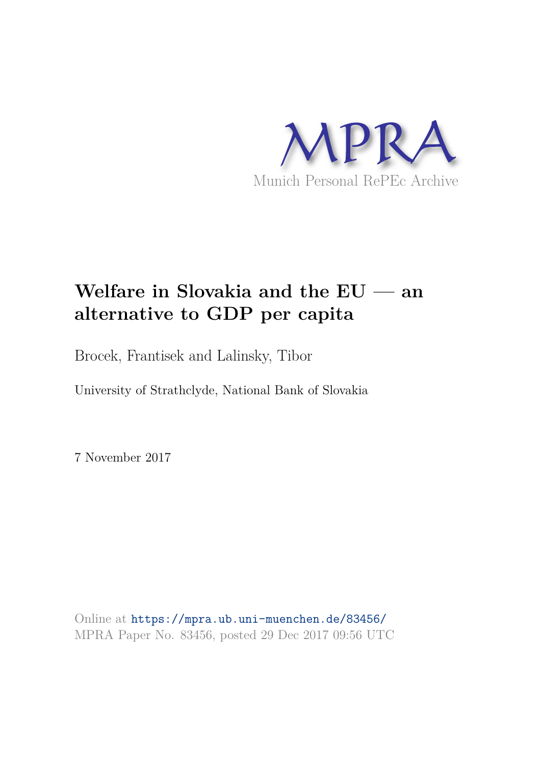

# **Welfare in Slovakia and the EU — an alternative to GDP per capita**

Brocek, Frantisek and Lalinsky, Tibor

University of Strathclyde, National Bank of Slovakia

7 November 2017

Online at https://mpra.ub.uni-muenchen.de/83456/ MPRA Paper No. 83456, posted 29 Dec 2017 09:56 UTC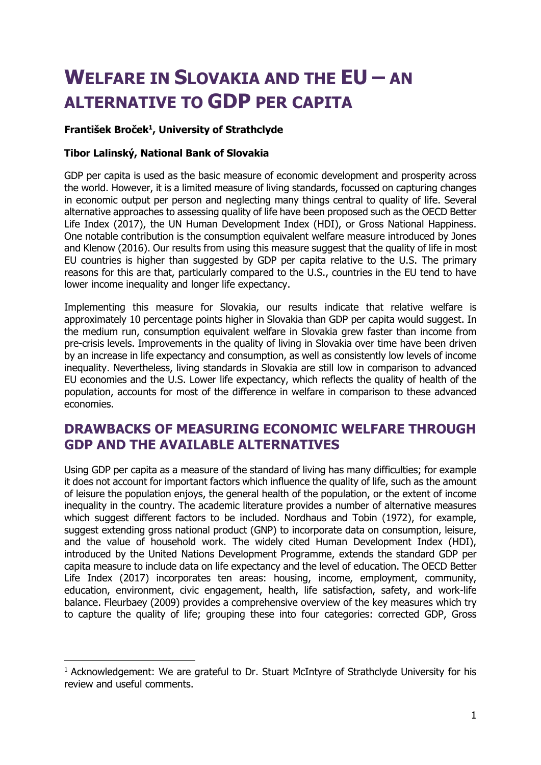# **WELFARE IN SLOVAKIA AND THE EU – AN ALTERNATIVE TO GDP PER CAPITA**

### **František Broček<sup>1</sup> , University of Strathclyde**

### **Tibor Lalinský, National Bank of Slovakia**

-

GDP per capita is used as the basic measure of economic development and prosperity across the world. However, it is a limited measure of living standards, focussed on capturing changes in economic output per person and neglecting many things central to quality of life. Several alternative approaches to assessing quality of life have been proposed such as the OECD Better Life Index (2017), the UN Human Development Index (HDI), or Gross National Happiness. One notable contribution is the consumption equivalent welfare measure introduced by Jones and Klenow (2016). Our results from using this measure suggest that the quality of life in most EU countries is higher than suggested by GDP per capita relative to the U.S. The primary reasons for this are that, particularly compared to the U.S., countries in the EU tend to have lower income inequality and longer life expectancy.

Implementing this measure for Slovakia, our results indicate that relative welfare is approximately 10 percentage points higher in Slovakia than GDP per capita would suggest. In the medium run, consumption equivalent welfare in Slovakia grew faster than income from pre-crisis levels. Improvements in the quality of living in Slovakia over time have been driven by an increase in life expectancy and consumption, as well as consistently low levels of income inequality. Nevertheless, living standards in Slovakia are still low in comparison to advanced EU economies and the U.S. Lower life expectancy, which reflects the quality of health of the population, accounts for most of the difference in welfare in comparison to these advanced economies.

## **DRAWBACKS OF MEASURING ECONOMIC WELFARE THROUGH GDP AND THE AVAILABLE ALTERNATIVES**

Using GDP per capita as a measure of the standard of living has many difficulties; for example it does not account for important factors which influence the quality of life, such as the amount of leisure the population enjoys, the general health of the population, or the extent of income inequality in the country. The academic literature provides a number of alternative measures which suggest different factors to be included. Nordhaus and Tobin (1972), for example, suggest extending gross national product (GNP) to incorporate data on consumption, leisure, and the value of household work. The widely cited Human Development Index (HDI), introduced by the United Nations Development Programme, extends the standard GDP per capita measure to include data on life expectancy and the level of education. The OECD Better Life Index (2017) incorporates ten areas: housing, income, employment, community, education, environment, civic engagement, health, life satisfaction, safety, and work-life balance. Fleurbaey (2009) provides a comprehensive overview of the key measures which try to capture the quality of life; grouping these into four categories: corrected GDP, Gross

<sup>&</sup>lt;sup>1</sup> Acknowledgement: We are grateful to Dr. Stuart McIntyre of Strathclyde University for his review and useful comments.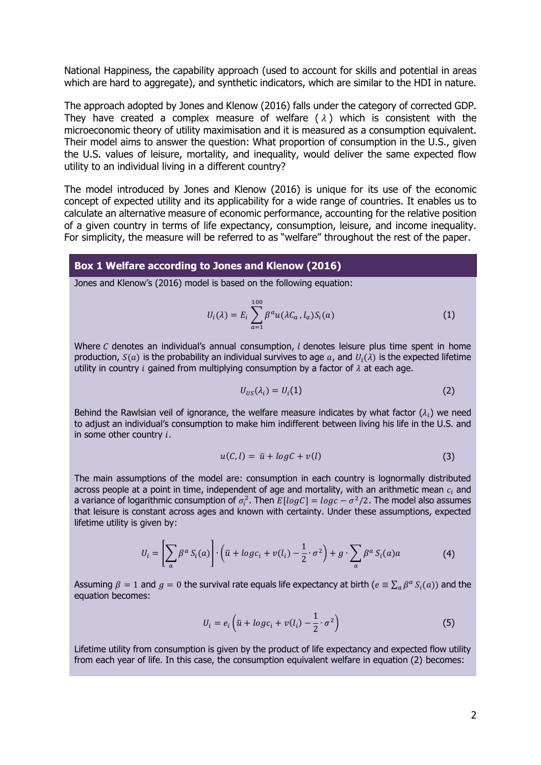National Happiness, the capability approach (used to account for skills and potential in areas which are hard to aggregate), and synthetic indicators, which are similar to the HDI in nature.

The approach adopted by Jones and Klenow (2016) falls under the category of corrected GDP. They have created a complex measure of welfare  $(\lambda)$  which is consistent with the microeconomic theory of utility maximisation and it is measured as a consumption equivalent. Their model aims to answer the question: What proportion of consumption in the U.S., given the U.S. values of leisure, mortality, and inequality, would deliver the same expected flow utility to an individual living in a different country?

The model introduced by Jones and Klenow (2016) is unique for its use of the economic concept of expected utility and its applicability for a wide range of countries. It enables us to calculate an alternative measure of economic performance, accounting for the relative position of a given country in terms of life expectancy, consumption, leisure, and income inequality. For simplicity, the measure will be referred to as "welfare" throughout the rest of the paper.

#### **Box 1 Welfare according to Jones and Klenow (2016)**

Jones and Klenow's (2016) model is based on the following equation:

$$
U_i(\lambda) = E_i \sum_{a=1}^{100} \beta^a u(\lambda C_a, l_a) S_i(a)
$$
 (1)

Where  $C$  denotes an individual's annual consumption,  $l$  denotes leisure plus time spent in home production,  $S(a)$  is the probability an individual survives to age  $a$ , and  $U_i(\lambda)$  is the expected lifetime utility in country *i* gained from multiplying consumption by a factor of  $\lambda$  at each age.

$$
U_{US}(\lambda_i) = U_i(1) \tag{2}
$$

Behind the Rawlsian veil of ignorance, the welfare measure indicates by what factor  $(\lambda_i)$  we need to adjust an individual's consumption to make him indifferent between living his life in the U.S. and in some other country  $i$ .

$$
u(C,l) = \bar{u} + \log C + v(l) \tag{3}
$$

The main assumptions of the model are: consumption in each country is lognormally distributed across people at a point in time, independent of age and mortality, with an arithmetic mean  $c_i$  and a variance of logarithmic consumption of  $\sigma_i^2$ . Then  $E[log C] = log c - \sigma^2/2$ . The model also assumes that leisure is constant across ages and known with certainty. Under these assumptions, expected lifetime utility is given by:

$$
U_i = \left[\sum_a \beta^a S_i(a)\right] \cdot \left(\bar{u} + \log c_i + v(l_i) - \frac{1}{2} \cdot \sigma^2\right) + g \cdot \sum_a \beta^a S_i(a)a\tag{4}
$$

Assuming  $\beta = 1$  and  $g = 0$  the survival rate equals life expectancy at birth ( $e \equiv \sum_a \beta^a S_i(a)$ ) and the equation becomes:

$$
U_i = e_i \left( \bar{u} + log c_i + v(l_i) - \frac{1}{2} \cdot \sigma^2 \right)
$$
 (5)

Lifetime utility from consumption is given by the product of life expectancy and expected flow utility from each year of life. In this case, the consumption equivalent welfare in equation (2) becomes: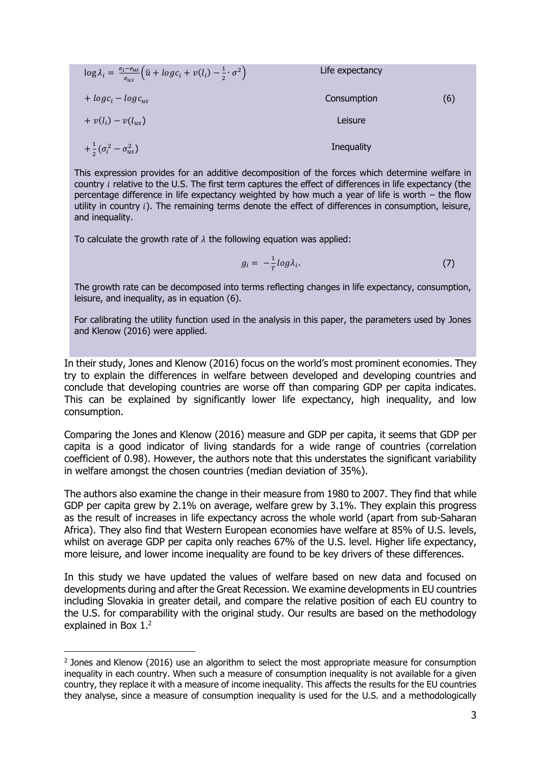| $\log \lambda_i = \frac{e_i - e_{us}}{e_{us}} \left( \bar{u} + log c_i + v(l_i) - \frac{1}{2} \cdot \sigma^2 \right)$ | Life expectancy |     |
|-----------------------------------------------------------------------------------------------------------------------|-----------------|-----|
| $+ log c_i - log c_{us}$                                                                                              | Consumption     | (6) |
| $+v(l_i)-v(l_{us})$                                                                                                   | Leisure         |     |
| $+\frac{1}{2}(\sigma_i^2-\sigma_{us}^2)$                                                                              | Inequality      |     |

This expression provides for an additive decomposition of the forces which determine welfare in country *i* relative to the U.S. The first term captures the effect of differences in life expectancy (the percentage difference in life expectancy weighted by how much a year of life is worth – the flow utility in country  $i$ ). The remaining terms denote the effect of differences in consumption, leisure, and inequality.

To calculate the growth rate of  $\lambda$  the following equation was applied:

$$
g_i = -\frac{1}{T} \log \lambda_i. \tag{7}
$$

The growth rate can be decomposed into terms reflecting changes in life expectancy, consumption, leisure, and inequality, as in equation (6).

For calibrating the utility function used in the analysis in this paper, the parameters used by Jones and Klenow (2016) were applied.

In their study, Jones and Klenow (2016) focus on the world's most prominent economies. They try to explain the differences in welfare between developed and developing countries and conclude that developing countries are worse off than comparing GDP per capita indicates. This can be explained by significantly lower life expectancy, high inequality, and low consumption.

Comparing the Jones and Klenow (2016) measure and GDP per capita, it seems that GDP per capita is a good indicator of living standards for a wide range of countries (correlation coefficient of 0.98). However, the authors note that this understates the significant variability in welfare amongst the chosen countries (median deviation of 35%).

The authors also examine the change in their measure from 1980 to 2007. They find that while GDP per capita grew by 2.1% on average, welfare grew by 3.1%. They explain this progress as the result of increases in life expectancy across the whole world (apart from sub-Saharan Africa). They also find that Western European economies have welfare at 85% of U.S. levels, whilst on average GDP per capita only reaches 67% of the U.S. level. Higher life expectancy, more leisure, and lower income inequality are found to be key drivers of these differences.

In this study we have updated the values of welfare based on new data and focused on developments during and after the Great Recession. We examine developments in EU countries including Slovakia in greater detail, and compare the relative position of each EU country to the U.S. for comparability with the original study. Our results are based on the methodology explained in Box 1.<sup>2</sup>

<sup>&</sup>lt;sup>2</sup> Jones and Klenow (2016) use an algorithm to select the most appropriate measure for consumption inequality in each country. When such a measure of consumption inequality is not available for a given country, they replace it with a measure of income inequality. This affects the results for the EU countries they analyse, since a measure of consumption inequality is used for the U.S. and a methodologically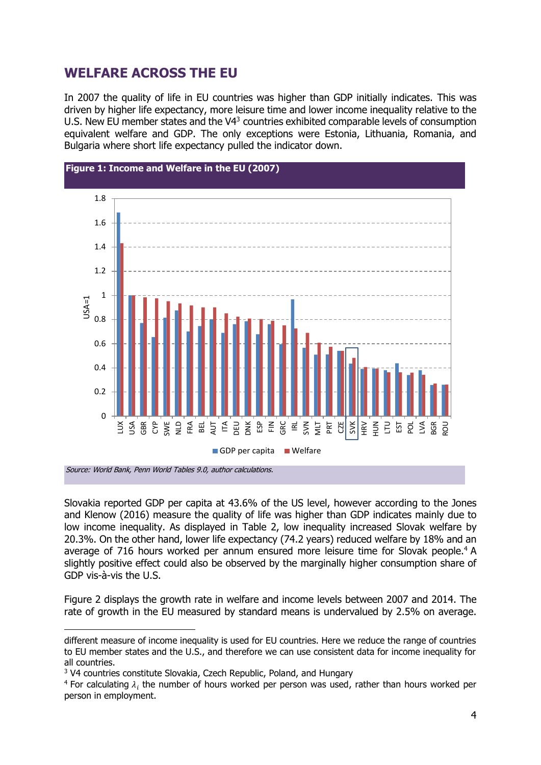## **WELFARE ACROSS THE EU**

In 2007 the quality of life in EU countries was higher than GDP initially indicates. This was driven by higher life expectancy, more leisure time and lower income inequality relative to the U.S. New EU member states and the  $V4<sup>3</sup>$  countries exhibited comparable levels of consumption equivalent welfare and GDP. The only exceptions were Estonia, Lithuania, Romania, and Bulgaria where short life expectancy pulled the indicator down.



Slovakia reported GDP per capita at 43.6% of the US level, however according to the Jones and Klenow (2016) measure the quality of life was higher than GDP indicates mainly due to low income inequality. As displayed in Table 2, low inequality increased Slovak welfare by 20.3%. On the other hand, lower life expectancy (74.2 years) reduced welfare by 18% and an average of 716 hours worked per annum ensured more leisure time for Slovak people.<sup>4</sup> A slightly positive effect could also be observed by the marginally higher consumption share of GDP vis-à-vis the U.S.

Figure 2 displays the growth rate in welfare and income levels between 2007 and 2014. The rate of growth in the EU measured by standard means is undervalued by 2.5% on average.

different measure of income inequality is used for EU countries. Here we reduce the range of countries to EU member states and the U.S., and therefore we can use consistent data for income inequality for all countries.

<sup>&</sup>lt;sup>3</sup> V4 countries constitute Slovakia, Czech Republic, Poland, and Hungary

<sup>&</sup>lt;sup>4</sup> For calculating  $\lambda_i$  the number of hours worked per person was used, rather than hours worked per person in employment.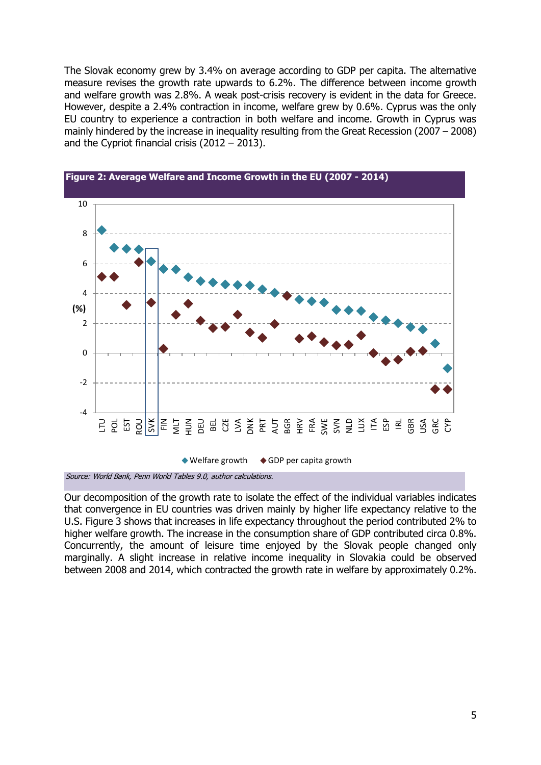The Slovak economy grew by 3.4% on average according to GDP per capita. The alternative measure revises the growth rate upwards to 6.2%. The difference between income growth and welfare growth was 2.8%. A weak post-crisis recovery is evident in the data for Greece. However, despite a 2.4% contraction in income, welfare grew by 0.6%. Cyprus was the only EU country to experience a contraction in both welfare and income. Growth in Cyprus was mainly hindered by the increase in inequality resulting from the Great Recession (2007 – 2008) and the Cypriot financial crisis (2012 – 2013).





Source: World Bank, Penn World Tables 9.0, author calculations.

Our decomposition of the growth rate to isolate the effect of the individual variables indicates that convergence in EU countries was driven mainly by higher life expectancy relative to the U.S. Figure 3 shows that increases in life expectancy throughout the period contributed 2% to higher welfare growth. The increase in the consumption share of GDP contributed circa 0.8%. Concurrently, the amount of leisure time enjoyed by the Slovak people changed only marginally. A slight increase in relative income inequality in Slovakia could be observed between 2008 and 2014, which contracted the growth rate in welfare by approximately 0.2%.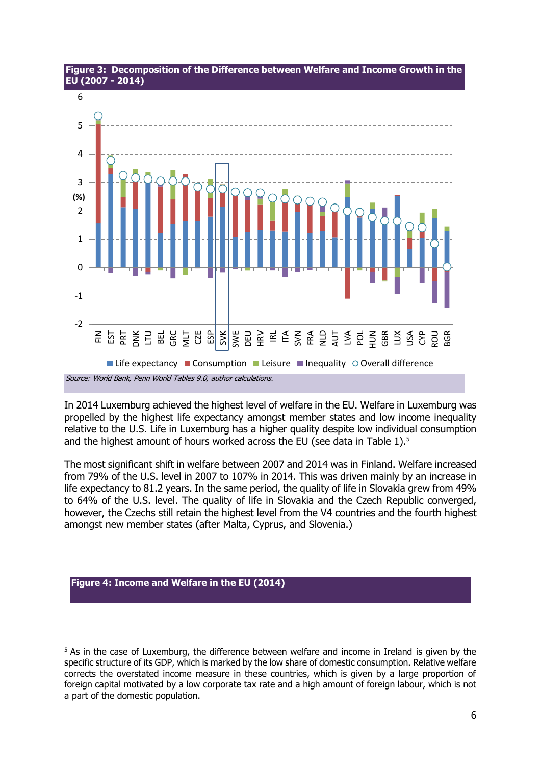

**Figure 3: Decomposition of the Difference between Welfare and Income Growth in the EU (2007 - 2014)**

In 2014 Luxemburg achieved the highest level of welfare in the EU. Welfare in Luxemburg was propelled by the highest life expectancy amongst member states and low income inequality relative to the U.S. Life in Luxemburg has a higher quality despite low individual consumption and the highest amount of hours worked across the EU (see data in Table  $1$ ).<sup>5</sup>

The most significant shift in welfare between 2007 and 2014 was in Finland. Welfare increased from 79% of the U.S. level in 2007 to 107% in 2014. This was driven mainly by an increase in life expectancy to 81.2 years. In the same period, the quality of life in Slovakia grew from 49% to 64% of the U.S. level. The quality of life in Slovakia and the Czech Republic converged, however, the Czechs still retain the highest level from the V4 countries and the fourth highest amongst new member states (after Malta, Cyprus, and Slovenia.)

#### **Figure 4: Income and Welfare in the EU (2014)**

<sup>&</sup>lt;sup>5</sup> As in the case of Luxemburg, the difference between welfare and income in Ireland is given by the specific structure of its GDP, which is marked by the low share of domestic consumption. Relative welfare corrects the overstated income measure in these countries, which is given by a large proportion of foreign capital motivated by a low corporate tax rate and a high amount of foreign labour, which is not a part of the domestic population.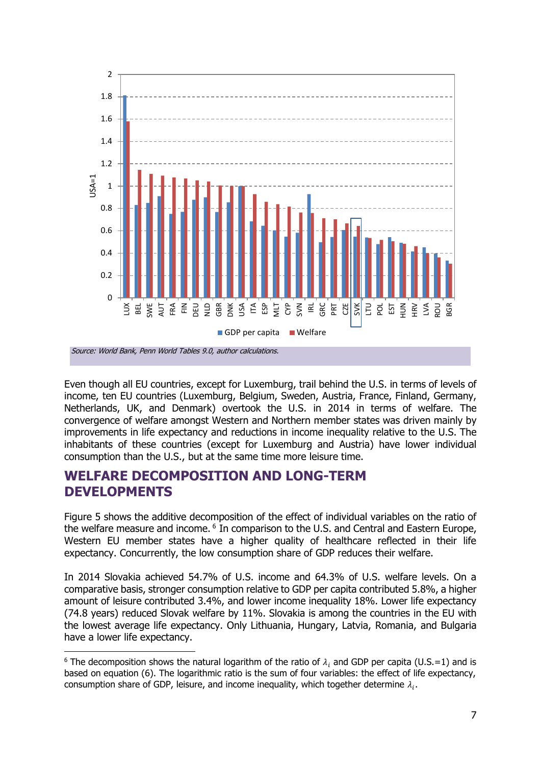

Even though all EU countries, except for Luxemburg, trail behind the U.S. in terms of levels of income, ten EU countries (Luxemburg, Belgium, Sweden, Austria, France, Finland, Germany, Netherlands, UK, and Denmark) overtook the U.S. in 2014 in terms of welfare. The convergence of welfare amongst Western and Northern member states was driven mainly by improvements in life expectancy and reductions in income inequality relative to the U.S. The inhabitants of these countries (except for Luxemburg and Austria) have lower individual consumption than the U.S., but at the same time more leisure time.

## **WELFARE DECOMPOSITION AND LONG-TERM DEVELOPMENTS**

-

Figure 5 shows the additive decomposition of the effect of individual variables on the ratio of the welfare measure and income.<sup>6</sup> In comparison to the U.S. and Central and Eastern Europe, Western EU member states have a higher quality of healthcare reflected in their life expectancy. Concurrently, the low consumption share of GDP reduces their welfare.

In 2014 Slovakia achieved 54.7% of U.S. income and 64.3% of U.S. welfare levels. On a comparative basis, stronger consumption relative to GDP per capita contributed 5.8%, a higher amount of leisure contributed 3.4%, and lower income inequality 18%. Lower life expectancy (74.8 years) reduced Slovak welfare by 11%. Slovakia is among the countries in the EU with the lowest average life expectancy. Only Lithuania, Hungary, Latvia, Romania, and Bulgaria have a lower life expectancy.

<sup>&</sup>lt;sup>6</sup> The decomposition shows the natural logarithm of the ratio of  $\lambda_i$  and GDP per capita (U.S.=1) and is based on equation (6). The logarithmic ratio is the sum of four variables: the effect of life expectancy, consumption share of GDP, leisure, and income inequality, which together determine  $\lambda_i$ .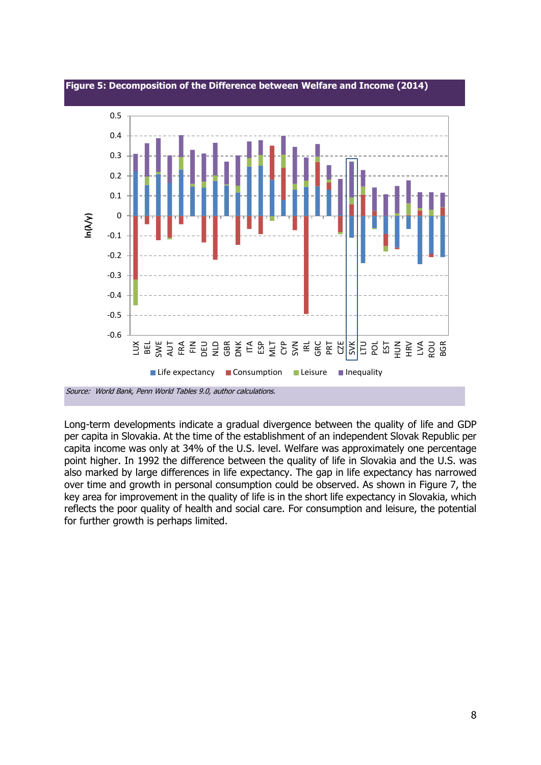

**Figure 5: Decomposition of the Difference between Welfare and Income (2014)** 

Long-term developments indicate a gradual divergence between the quality of life and GDP per capita in Slovakia. At the time of the establishment of an independent Slovak Republic per capita income was only at 34% of the U.S. level. Welfare was approximately one percentage point higher. In 1992 the difference between the quality of life in Slovakia and the U.S. was also marked by large differences in life expectancy. The gap in life expectancy has narrowed over time and growth in personal consumption could be observed. As shown in Figure 7, the key area for improvement in the quality of life is in the short life expectancy in Slovakia, which reflects the poor quality of health and social care. For consumption and leisure, the potential for further growth is perhaps limited.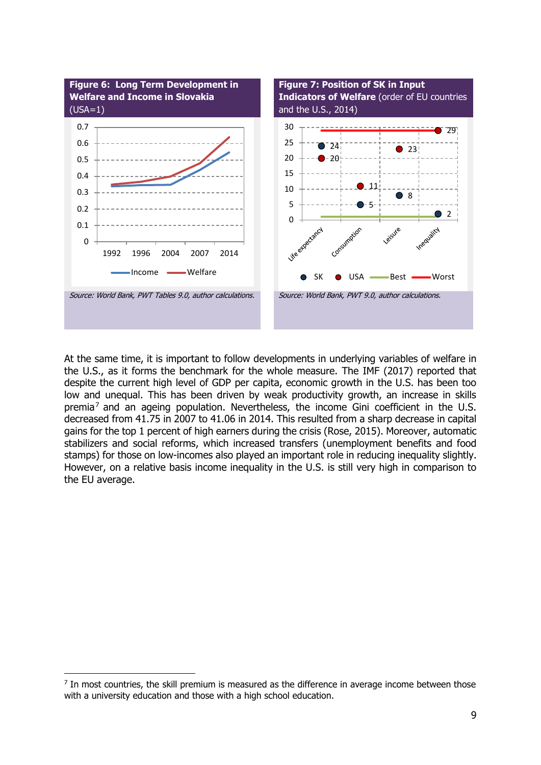

At the same time, it is important to follow developments in underlying variables of welfare in the U.S., as it forms the benchmark for the whole measure. The IMF (2017) reported that despite the current high level of GDP per capita, economic growth in the U.S. has been too low and unequal. This has been driven by weak productivity growth, an increase in skills premia<sup>7</sup> and an ageing population. Nevertheless, the income Gini coefficient in the U.S. decreased from 41.75 in 2007 to 41.06 in 2014. This resulted from a sharp decrease in capital gains for the top 1 percent of high earners during the crisis (Rose, 2015). Moreover, automatic stabilizers and social reforms, which increased transfers (unemployment benefits and food stamps) for those on low-incomes also played an important role in reducing inequality slightly. However, on a relative basis income inequality in the U.S. is still very high in comparison to the EU average.

 $<sup>7</sup>$  In most countries, the skill premium is measured as the difference in average income between those</sup> with a university education and those with a high school education.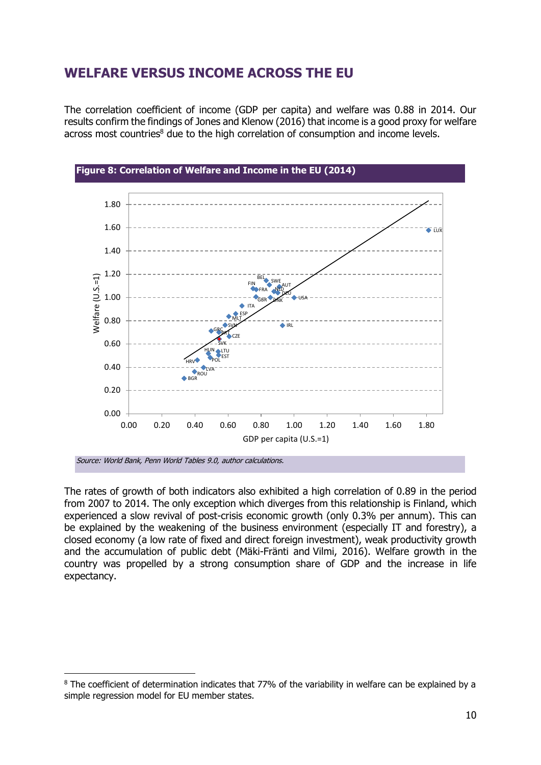## **WELFARE VERSUS INCOME ACROSS THE EU**

The correlation coefficient of income (GDP per capita) and welfare was 0.88 in 2014. Our results confirm the findings of Jones and Klenow (2016) that income is a good proxy for welfare across most countries<sup>8</sup> due to the high correlation of consumption and income levels.





-

The rates of growth of both indicators also exhibited a high correlation of 0.89 in the period from 2007 to 2014. The only exception which diverges from this relationship is Finland, which experienced a slow revival of post-crisis economic growth (only 0.3% per annum). This can be explained by the weakening of the business environment (especially IT and forestry), a closed economy (a low rate of fixed and direct foreign investment), weak productivity growth and the accumulation of public debt (Mäki-Fränti and Vilmi, 2016). Welfare growth in the country was propelled by a strong consumption share of GDP and the increase in life expectancy.

 $8$  The coefficient of determination indicates that 77% of the variability in welfare can be explained by a simple regression model for EU member states.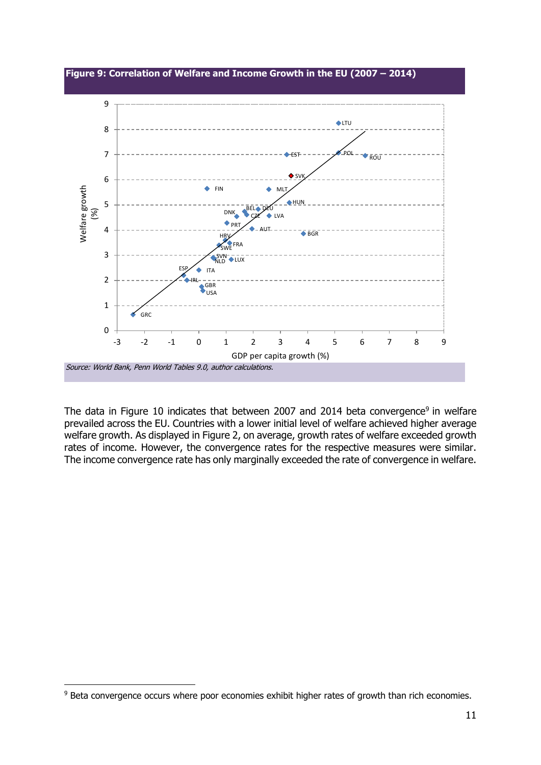

The data in Figure 10 indicates that between 2007 and 2014 beta convergence<sup>9</sup> in welfare prevailed across the EU. Countries with a lower initial level of welfare achieved higher average welfare growth. As displayed in Figure 2, on average, growth rates of welfare exceeded growth rates of income. However, the convergence rates for the respective measures were similar. The income convergence rate has only marginally exceeded the rate of convergence in welfare.

<sup>-</sup><sup>9</sup> Beta convergence occurs where poor economies exhibit higher rates of growth than rich economies.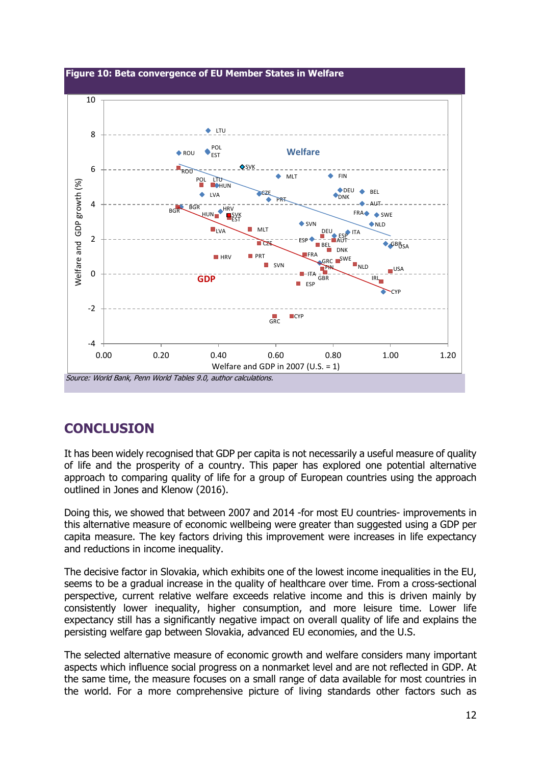

## **CONCLUSION**

It has been widely recognised that GDP per capita is not necessarily a useful measure of quality of life and the prosperity of a country. This paper has explored one potential alternative approach to comparing quality of life for a group of European countries using the approach outlined in Jones and Klenow (2016).

Doing this, we showed that between 2007 and 2014 -for most EU countries- improvements in this alternative measure of economic wellbeing were greater than suggested using a GDP per capita measure. The key factors driving this improvement were increases in life expectancy and reductions in income inequality.

The decisive factor in Slovakia, which exhibits one of the lowest income inequalities in the EU, seems to be a gradual increase in the quality of healthcare over time. From a cross-sectional perspective, current relative welfare exceeds relative income and this is driven mainly by consistently lower inequality, higher consumption, and more leisure time. Lower life expectancy still has a significantly negative impact on overall quality of life and explains the persisting welfare gap between Slovakia, advanced EU economies, and the U.S.

The selected alternative measure of economic growth and welfare considers many important aspects which influence social progress on a nonmarket level and are not reflected in GDP. At the same time, the measure focuses on a small range of data available for most countries in the world. For a more comprehensive picture of living standards other factors such as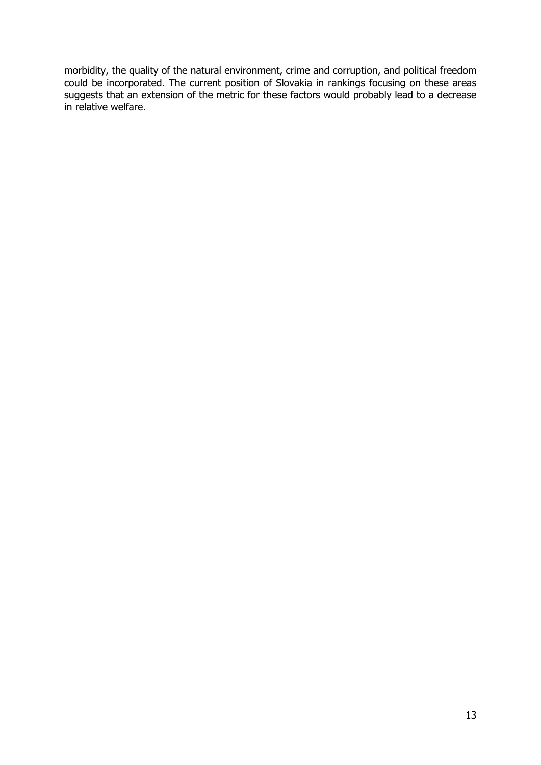morbidity, the quality of the natural environment, crime and corruption, and political freedom could be incorporated. The current position of Slovakia in rankings focusing on these areas suggests that an extension of the metric for these factors would probably lead to a decrease in relative welfare.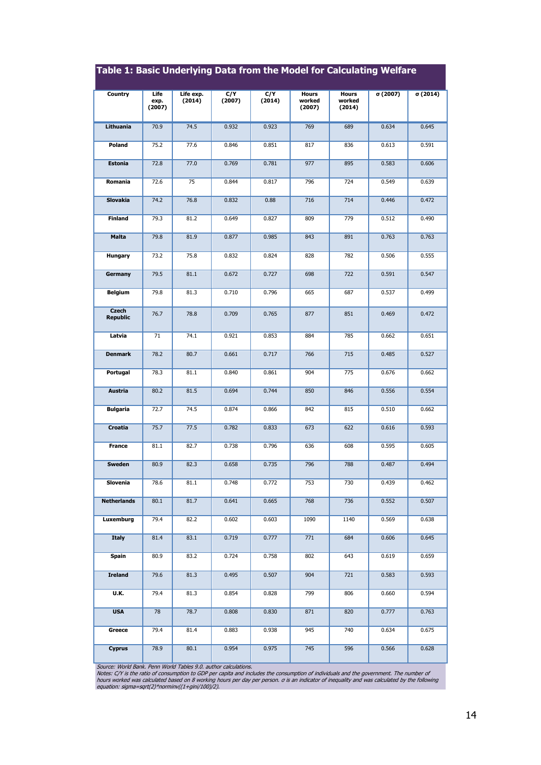| rapic In Basic Underlying Bata from the Fioder for Calcalating Hendre |                        |                     |               |               |                                  |                           |          |         |
|-----------------------------------------------------------------------|------------------------|---------------------|---------------|---------------|----------------------------------|---------------------------|----------|---------|
| Country                                                               | Life<br>exp.<br>(2007) | Life exp.<br>(2014) | C/Y<br>(2007) | C/Y<br>(2014) | <b>Hours</b><br>worked<br>(2007) | Hours<br>worked<br>(2014) | σ (2007) | σ(2014) |
| Lithuania                                                             | 70.9                   | 74.5                | 0.932         | 0.923         | 769                              | 689                       | 0.634    | 0.645   |
| Poland                                                                | 75.2                   | 77.6                | 0.846         | 0.851         | 817                              | 836                       | 0.613    | 0.591   |
| <b>Estonia</b>                                                        | 72.8                   | 77.0                | 0.769         | 0.781         | 977                              | 895                       | 0.583    | 0.606   |
| Romania                                                               | 72.6                   | 75                  | 0.844         | 0.817         | 796                              | 724                       | 0.549    | 0.639   |
| <b>Slovakia</b>                                                       | 74.2                   | 76.8                | 0.832         | 0.88          | 716                              | 714                       | 0.446    | 0.472   |
| <b>Finland</b>                                                        | 79.3                   | 81.2                | 0.649         | 0.827         | 809                              | 779                       | 0.512    | 0.490   |
| <b>Malta</b>                                                          | 79.8                   | 81.9                | 0.877         | 0.985         | 843                              | 891                       | 0.763    | 0.763   |
| Hungary                                                               | 73.2                   | 75.8                | 0.832         | 0.824         | 828                              | 782                       | 0.506    | 0.555   |
| Germany                                                               | 79.5                   | 81.1                | 0.672         | 0.727         | 698                              | 722                       | 0.591    | 0.547   |
| <b>Belgium</b>                                                        | 79.8                   | 81.3                | 0.710         | 0.796         | 665                              | 687                       | 0.537    | 0.499   |
| <b>Czech</b><br><b>Republic</b>                                       | 76.7                   | 78.8                | 0.709         | 0.765         | 877                              | 851                       | 0.469    | 0.472   |
| Latvia                                                                | 71                     | 74.1                | 0.921         | 0.853         | 884                              | 785                       | 0.662    | 0.651   |
| <b>Denmark</b>                                                        | 78.2                   | 80.7                | 0.661         | 0.717         | 766                              | 715                       | 0.485    | 0.527   |
| Portugal                                                              | 78.3                   | 81.1                | 0.840         | 0.861         | 904                              | 775                       | 0.676    | 0.662   |
| Austria                                                               | 80.2                   | 81.5                | 0.694         | 0.744         | 850                              | 846                       | 0.556    | 0.554   |
| <b>Bulgaria</b>                                                       | 72.7                   | 74.5                | 0.874         | 0.866         | 842                              | 815                       | 0.510    | 0.662   |
| Croatia                                                               | 75.7                   | 77.5                | 0.782         | 0.833         | 673                              | 622                       | 0.616    | 0.593   |
| <b>France</b>                                                         | 81.1                   | 82.7                | 0.738         | 0.796         | 636                              | 608                       | 0.595    | 0.605   |
| <b>Sweden</b>                                                         | 80.9                   | 82.3                | 0.658         | 0.735         | 796                              | 788                       | 0.487    | 0.494   |
| Slovenia                                                              | 78.6                   | 81.1                | 0.748         | 0.772         | 753                              | 730                       | 0.439    | 0.462   |
| <b>Netherlands</b>                                                    | 80.1                   | 81.7                | 0.641         | 0.665         | 768                              | 736                       | 0.552    | 0.507   |
| Luxemburg                                                             | 79.4                   | 82.2                | 0.602         | 0.603         | 1090                             | 1140                      | 0.569    | 0.638   |
| <b>Italy</b>                                                          | 81.4                   | 83.1                | 0.719         | 0.777         | 771                              | 684                       | 0.606    | 0.645   |
| Spain                                                                 | 80.9                   | 83.2                | 0.724         | 0.758         | 802                              | 643                       | 0.619    | 0.659   |
| <b>Ireland</b>                                                        | 79.6                   | 81.3                | 0.495         | 0.507         | 904                              | 721                       | 0.583    | 0.593   |
| U.K.                                                                  | 79.4                   | 81.3                | 0.854         | 0.828         | 799                              | 806                       | 0.660    | 0.594   |
| <b>USA</b>                                                            | 78                     | 78.7                | 0.808         | 0.830         | 871                              | 820                       | 0.777    | 0.763   |
| Greece                                                                | 79.4                   | 81.4                | 0.883         | 0.938         | 945                              | 740                       | 0.634    | 0.675   |
| <b>Cyprus</b>                                                         | 78.9                   | 80.1                | 0.954         | 0.975         | 745                              | 596                       | 0.566    | 0.628   |

### **Table 1: Basic Underlying Data from the Model for Calculating Welfare**

Source: World Bank. Penn World Tables 9.0, author calculations.<br>Notes: C/Y is the ratio of consumption to GDP per capita and includes the consumption of individuals and the government. The number of<br>hours worked was calcul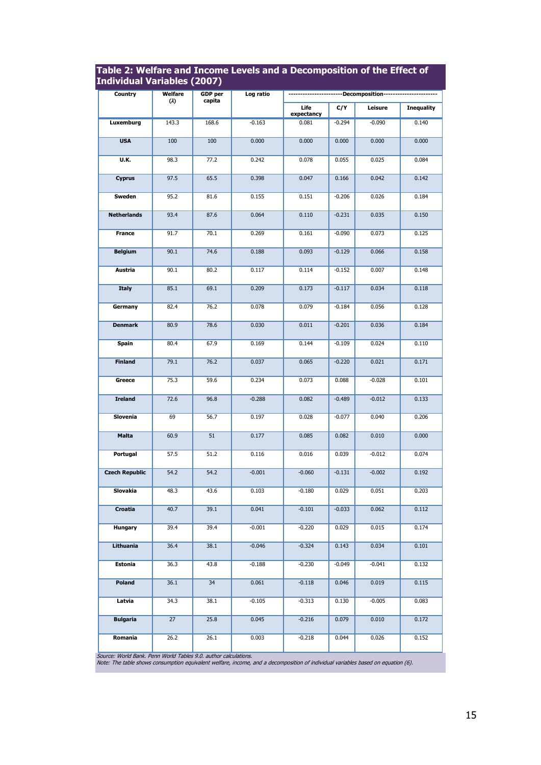| Individual Variables (2007) |                     |                          |           |                                       |          |          |                   |  |
|-----------------------------|---------------------|--------------------------|-----------|---------------------------------------|----------|----------|-------------------|--|
| Country                     | Welfare<br>$\omega$ | <b>GDP</b> per<br>capita | Log ratio | ----------Decomposition-------------- |          |          |                   |  |
|                             |                     |                          |           | Life<br>expectancy                    | C/Y      | Leisure  | <b>Inequality</b> |  |
| <b>Luxemburg</b>            | 143.3               | 168.6                    | $-0.163$  | 0.081                                 | $-0.294$ | $-0.090$ | 0.140             |  |
| <b>USA</b>                  | 100                 | 100                      | 0.000     | 0.000                                 | 0.000    | 0.000    | 0.000             |  |
| U.K.                        | 98.3                | 77.2                     | 0.242     | 0.078                                 | 0.055    | 0.025    | 0.084             |  |
| <b>Cyprus</b>               | 97.5                | 65.5                     | 0.398     | 0.047                                 | 0.166    | 0.042    | 0.142             |  |
| Sweden                      | 95.2                | 81.6                     | 0.155     | 0.151                                 | $-0.206$ | 0.026    | 0.184             |  |
| <b>Netherlands</b>          | 93.4                | 87.6                     | 0.064     | 0.110                                 | $-0.231$ | 0.035    | 0.150             |  |
| <b>France</b>               | 91.7                | 70.1                     | 0.269     | 0.161                                 | $-0.090$ | 0.073    | 0.125             |  |
| <b>Belgium</b>              | 90.1                | 74.6                     | 0.188     | 0.093                                 | $-0.129$ | 0.066    | 0.158             |  |
| Austria                     | 90.1                | 80.2                     | 0.117     | 0.114                                 | $-0.152$ | 0.007    | 0.148             |  |
| <b>Italy</b>                | 85.1                | 69.1                     | 0.209     | 0.173                                 | $-0.117$ | 0.034    | 0.118             |  |
| Germany                     | 82.4                | 76.2                     | 0.078     | 0.079                                 | $-0.184$ | 0.056    | 0.128             |  |
| <b>Denmark</b>              | 80.9                | 78.6                     | 0.030     | 0.011                                 | $-0.201$ | 0.036    | 0.184             |  |
| <b>Spain</b>                | 80.4                | 67.9                     | 0.169     | 0.144                                 | $-0.109$ | 0.024    | 0.110             |  |
| <b>Finland</b>              | 79.1                | 76.2                     | 0.037     | 0.065                                 | $-0.220$ | 0.021    | 0.171             |  |
| Greece                      | 75.3                | 59.6                     | 0.234     | 0.073                                 | 0.088    | $-0.028$ | 0.101             |  |
| <b>Ireland</b>              | 72.6                | 96.8                     | $-0.288$  | 0.082                                 | $-0.489$ | $-0.012$ | 0.133             |  |
| Slovenia                    | 69                  | 56.7                     | 0.197     | 0.028                                 | $-0.077$ | 0.040    | 0.206             |  |
| Malta                       | 60.9                | 51                       | 0.177     | 0.085                                 | 0.082    | 0.010    | 0.000             |  |
| Portugal                    | 57.5                | 51.2                     | 0.116     | 0.016                                 | 0.039    | $-0.012$ | 0.074             |  |
| <b>Czech Republic</b>       | 54.2                | 54.2                     | $-0.001$  | $-0.060$                              | $-0.131$ | $-0.002$ | 0.192             |  |
| Slovakia                    | 48.3                | 43.6                     | 0.103     | $-0.180$                              | 0.029    | 0.051    | 0.203             |  |
| Croatia                     | 40.7                | 39.1                     | 0.041     | $-0.101$                              | $-0.033$ | 0.062    | 0.112             |  |
| <b>Hungary</b>              | 39.4                | 39.4                     | $-0.001$  | $-0.220$                              | 0.029    | 0.015    | 0.174             |  |
| Lithuania                   | 36.4                | 38.1                     | $-0.046$  | $-0.324$                              | 0.143    | 0.034    | 0.101             |  |
| Estonia                     | 36.3                | 43.8                     | $-0.188$  | $-0.230$                              | $-0.049$ | $-0.041$ | 0.132             |  |
| Poland                      | 36.1                | 34                       | 0.061     | $-0.118$                              | 0.046    | 0.019    | 0.115             |  |
| Latvia                      | 34.3                | 38.1                     | $-0.105$  | $-0.313$                              | 0.130    | $-0.005$ | 0.083             |  |
| <b>Bulgaria</b>             | 27                  | 25.8                     | 0.045     | $-0.216$                              | 0.079    | 0.010    | 0.172             |  |
| Romania                     | 26.2                | 26.1                     | 0.003     | $-0.218$                              | 0.044    | 0.026    | 0.152             |  |

# **Table 2: Welfare and Income Levels and a Decomposition of the Effect of**

Source: World Bank. Penn World Tables 9.0. author calculations. Note: The table shows consumption equivalent welfare, income, and a decomposition of individual variables based on equation (6).